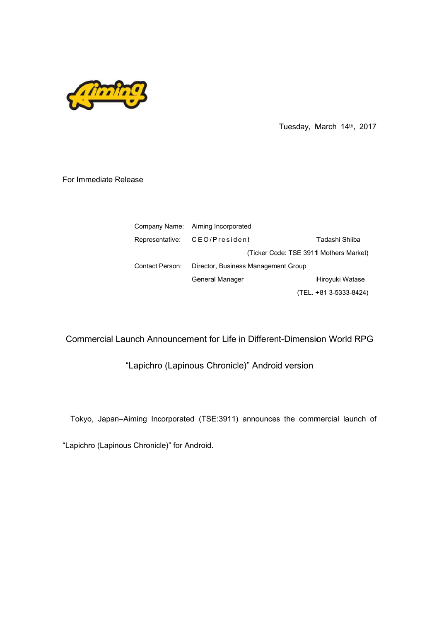

Tuesday, March 2017

## For Immediate Release

|                 |                                                                 | Tuesday, March 14th, 2017              |                        |  |  |
|-----------------|-----------------------------------------------------------------|----------------------------------------|------------------------|--|--|
|                 |                                                                 |                                        |                        |  |  |
| ıse             |                                                                 |                                        |                        |  |  |
|                 |                                                                 |                                        |                        |  |  |
|                 |                                                                 |                                        |                        |  |  |
|                 | Company Name: Aiming Incorporated                               |                                        |                        |  |  |
| Representative: | CEO/President                                                   |                                        | Tadashi Shiiba         |  |  |
|                 |                                                                 | (Ticker Code: TSE 3911 Mothers Market) |                        |  |  |
| Contact Person: | Director, Business Management Group                             |                                        |                        |  |  |
|                 | <b>General Manager</b>                                          |                                        | Hiroyuki Watase        |  |  |
|                 |                                                                 |                                        | (TEL. +81 3-5333-8424) |  |  |
|                 |                                                                 |                                        |                        |  |  |
|                 |                                                                 |                                        |                        |  |  |
|                 | ich Announcement for Life in Different-Dimension World RPG      |                                        |                        |  |  |
|                 | apichro (Lapinous Chronicle)" Android version                   |                                        |                        |  |  |
|                 |                                                                 |                                        |                        |  |  |
|                 |                                                                 |                                        |                        |  |  |
|                 | ning Incorporated (TSE:3911) announces the commercial launch of |                                        |                        |  |  |

Commercial Launch Announcement for Life in Different-Dimension World RPG<br>Lapichro (Lapinous Chronicle)" Android version"

"Lapichro (Lapinous Chronicle)" Android version

Tokyo, Japan–Aiming Incorporated (TSE:3911) announces the commercial launch of

"Lapichro (Lapinous Chronicle)" for Android.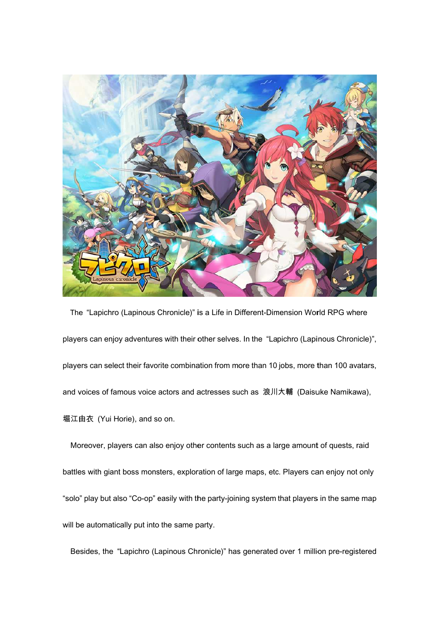

The "Lapichro (Lapinous Chronicle)" is a Life in Different-Dimension World RPG where The "Lapichro (Lapinous Chronicle)" is a Life in Different-Dimension World RPG where<br>players can enjoy adventures with their other selves. In the "Lapichro (Lapinous Chronicle)", players can enjoy adventures with their other selves. In the "Lapichro (Lapinous Chronicle)",<br>players can select their favorite combination from more than 10 jobs, more than 100 avatars, and voices of famous voice actors and actresses such as 浪川大輔 (Daisuke Namikawa), 堀江由衣 (Yui Horie), and so on. d voices of famous voice actors and actresses such as 浪川大輔 (Daisuke Namikawa),<br>江由衣 (Yui Horie), and so on.<br>Moreover, players can also enjoy other contents such as a large amount of quests, raid in Different-Dimension World RP(<br>ves. In the "Lapichro (Lapinous C<br>n more than 10 jobs, more than 10<br>s such as 浪川大輔 (Daisuke Na<br>nts such as a large amount of que<br>large maps, etc. Players can enjo<br>joining system that playe

battle battles with giant boss monster "solo" play but also "Co-op" easily with the party-joining system that players in the same map will be automatically put into the same party. "solo" play but also "Co-op" easily with the party-joining system that players in the same map<br>will be automatically put into the same party.<br>Besides, the "Lapichro (Lapinous Chronicle)" has generated over 1 million pre-re , players can also enj $\,$ giant boss monsters, $\,$ out also "Co-op" easily over, players can also enjoy other contents such as a large amount of quests, raid<br>with giant boss monsters, exploration of large maps, etc. Players can enjoy not only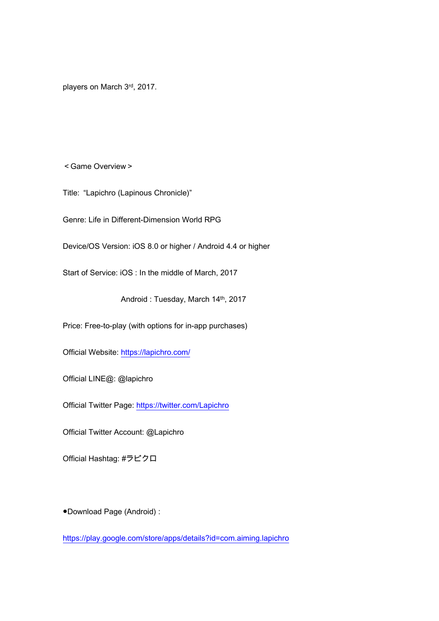players on March 3rd, 2017.

<Game Overview>

Title: "Lapichro (Lapinous Chronicle)"

Genre: Life in Different-Dimension World RPG

Device/OS Version: iOS 8.0 or higher / Android 4.4 or higher

Start of Service: iOS : In the middle of March, 2017

Android : Tuesday, March 14th, 2017

Price: Free-to-play (with options for in-app purchases)

Official Website: https://lapichro.com/

Official LINE@: @lapichro

Official Twitter Page: https://twitter.com/Lapichro

Official Twitter Account: @Lapichro

Official Hashtag: #ラピクロ

●Download Page (Android) :

https://play.google.com/store/apps/details?id=com.aiming.lapichro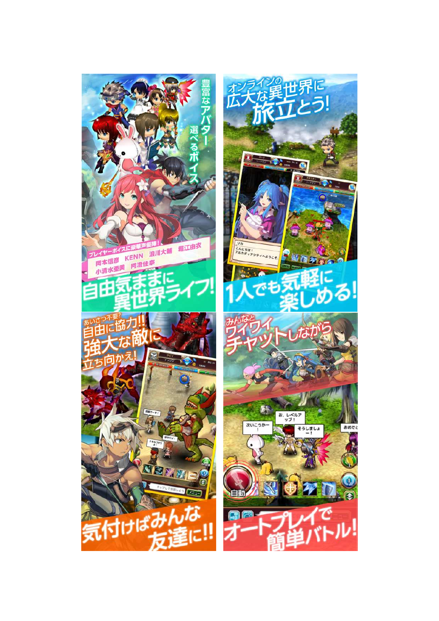